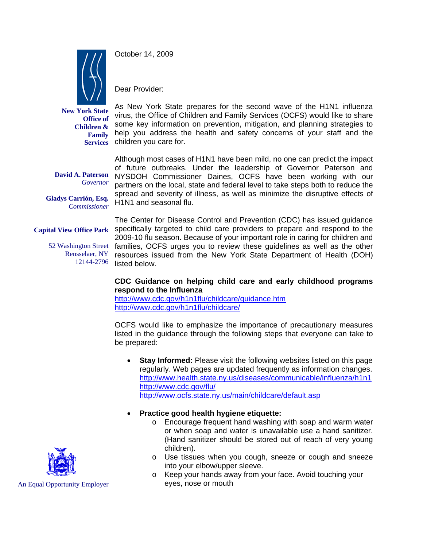

October 14, 2009

Dear Provider:

**New York State Office of Children & Family** 

As New York State prepares for the second wave of the H1N1 influenza virus, the Office of Children and Family Services (OCFS) would like to share some key information on prevention, mitigation, and planning strategies to help you address the health and safety concerns of your staff and the Services children you care for.

**David A. Paterson**  *Governor*

**Gladys Carrión, Esq.**   *Commissioner* 

Although most cases of H1N1 have been mild, no one can predict the impact of future outbreaks. Under the leadership of Governor Paterson and NYSDOH Commissioner Daines, OCFS have been working with our partners on the local, state and federal level to take steps both to reduce the spread and severity of illness, as well as minimize the disruptive effects of H1N1 and seasonal flu.

Rensselaer, NY 12144-2796

The Center for Disease Control and Prevention (CDC) has issued guidance Capital View Office Park Specifically targeted to child care providers to prepare and respond to the 2009-10 flu season. Because of your important role in caring for children and 52 Washington Street families, OCFS urges you to review these guidelines as well as the other resources issued from the New York State Department of Health (DOH) listed below.

## **CDC Guidance on helping child care and early childhood programs respond to the Influenza**

http://www.cdc.gov/h1n1flu/childcare/guidance.htm http://www.cdc.gov/h1n1flu/childcare/

OCFS would like to emphasize the importance of precautionary measures listed in the guidance through the following steps that everyone can take to be prepared:

- **Stay Informed:** Please visit the following websites listed on this page regularly. Web pages are updated frequently as information changes. http://www.health.state.ny.us/diseases/communicable/influenza/h1n1 http://www.cdc.gov/flu/ http://www.ocfs.state.ny.us/main/childcare/default.asp
- **Practice good health hygiene etiquette:**
	- o Encourage frequent hand washing with soap and warm water or when soap and water is unavailable use a hand sanitizer. (Hand sanitizer should be stored out of reach of very young children).
	- o Use tissues when you cough, sneeze or cough and sneeze into your elbow/upper sleeve.
	- o Keep your hands away from your face. Avoid touching your eyes, nose or mouth



An Equal Opportunity Employer